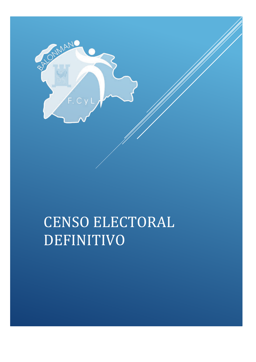

# CENSO ELECTORAL DEFINITIVO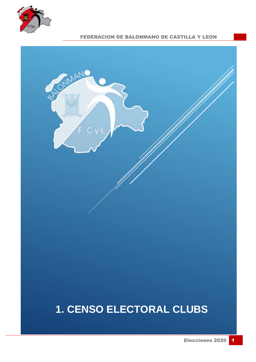



# **1. CENSO ELECTORAL CLUBS**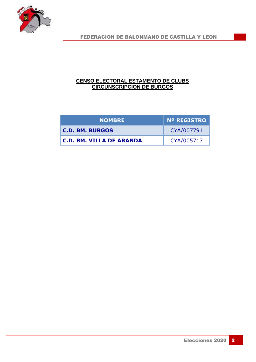

#### **CENSO ELECTORAL ESTAMENTO DE CLUBS CIRCUNSCRIPCION DE BURGOS**

| <b>NOMBRE</b>                   | <b>Nº REGISTRO</b> |
|---------------------------------|--------------------|
| <b>C.D. BM. BURGOS</b>          | CYA/007791         |
| <b>C.D. BM. VILLA DE ARANDA</b> | CYA/005717         |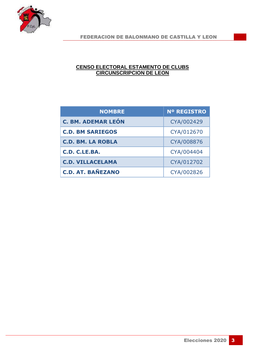

#### **CENSO ELECTORAL ESTAMENTO DE CLUBS CIRCUNSCRIPCION DE LEON**

| <b>NOMBRE</b>             | <b>Nº REGISTRO</b> |
|---------------------------|--------------------|
| <b>C. BM. ADEMAR LEÓN</b> | CYA/002429         |
| <b>C.D. BM SARIEGOS</b>   | CYA/012670         |
| <b>C.D. BM. LA ROBLA</b>  | CYA/008876         |
| C.D. C.LE.BA.             | CYA/004404         |
| <b>C.D. VILLACELAMA</b>   | CYA/012702         |
| <b>C.D. AT. BAÑEZANO</b>  | CYA/002826         |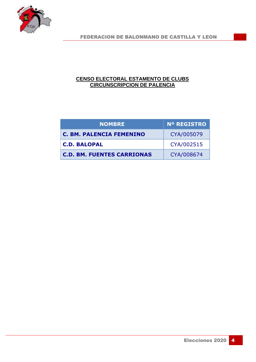

#### **CENSO ELECTORAL ESTAMENTO DE CLUBS CIRCUNSCRIPCION DE PALENCIA**

| <b>NOMBRE</b>                     | <b>N° REGISTRO</b> |
|-----------------------------------|--------------------|
| <b>C. BM. PALENCIA FEMENINO</b>   | CYA/005079         |
| <b>C.D. BALOPAL</b>               | CYA/002515         |
| <b>C.D. BM. FUENTES CARRIONAS</b> | CYA/008674         |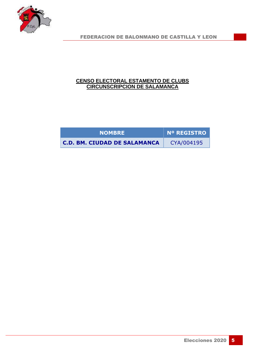

#### **CENSO ELECTORAL ESTAMENTO DE CLUBS CIRCUNSCRIPCION DE SALAMANCA**

| <b>NOMBRE</b>                       | Nº REGISTRO |  |
|-------------------------------------|-------------|--|
| <b>C.D. BM. CIUDAD DE SALAMANCA</b> | CYA/004195  |  |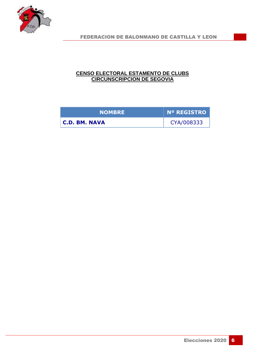

#### **CENSO ELECTORAL ESTAMENTO DE CLUBS CIRCUNSCRIPCION DE SEGOVIA**

| <b>NOMBRE</b> | <b>Nº REGISTRO</b> |
|---------------|--------------------|
| C.D. BM. NAVA | CYA/008333         |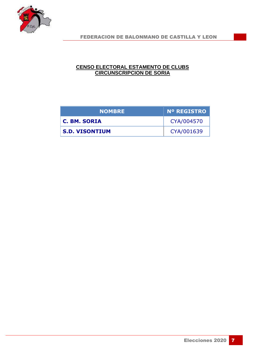

#### **CENSO ELECTORAL ESTAMENTO DE CLUBS CIRCUNSCRIPCION DE SORIA**

| <b>NOMBRE</b>         | <b>N° REGISTRO</b> |
|-----------------------|--------------------|
| C. BM. SORIA          | CYA/004570         |
| <b>S.D. VISONTIUM</b> | CYA/001639         |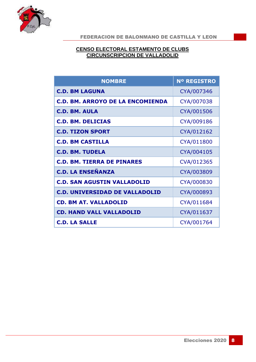

#### **CENSO ELECTORAL ESTAMENTO DE CLUBS CIRCUNSCRIPCION DE VALLADOLID**

| <b>NOMBRE</b>                           | <b>Nº REGISTRO</b> |
|-----------------------------------------|--------------------|
| <b>C.D. BM LAGUNA</b>                   | CYA/007346         |
| <b>C.D. BM. ARROYO DE LA ENCOMIENDA</b> | CYA/007038         |
| <b>C.D. BM. AULA</b>                    | CYA/001506         |
| <b>C.D. BM. DELICIAS</b>                | CYA/009186         |
| <b>C.D. TIZON SPORT</b>                 | CYA/012162         |
| <b>C.D. BM CASTILLA</b>                 | CYA/011800         |
| <b>C.D. BM. TUDELA</b>                  | CYA/004105         |
| <b>C.D. BM. TIERRA DE PINARES</b>       | CVA/012365         |
| <b>C.D. LA ENSEÑANZA</b>                | CYA/003809         |
| <b>C.D. SAN AGUSTIN VALLADOLID</b>      | CYA/000830         |
| <b>C.D. UNIVERSIDAD DE VALLADOLID</b>   | CYA/000893         |
| <b>CD. BM AT. VALLADOLID</b>            | CYA/011684         |
| <b>CD. HAND VALL VALLADOLID</b>         | CYA/011637         |
| <b>C.D. LA SALLE</b>                    | CYA/001764         |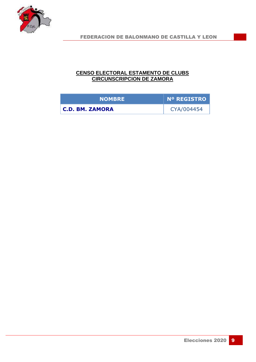

#### **CENSO ELECTORAL ESTAMENTO DE CLUBS CIRCUNSCRIPCION DE ZAMORA**

| <b>NOMBRE</b>          | Nº REGISTRO |
|------------------------|-------------|
| <b>C.D. BM. ZAMORA</b> | CYA/004454  |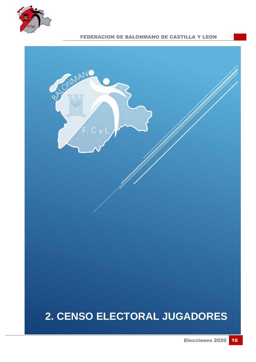



### **2. CENSO ELECTORAL JUGADORES**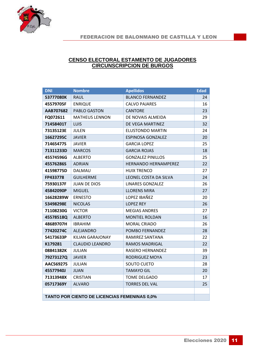

#### **CENSO ELECTORAL ESTAMENTO DE JUGADORES CIRCUNSCRIPCION DE BURGOS**

| <b>DNI</b> | <b>Nombre</b>                                | <b>Apellidos</b>            | <b>Edad</b> |
|------------|----------------------------------------------|-----------------------------|-------------|
| 53777080K  | <b>RAUL</b>                                  | <b>BLANCO FERNANDEZ</b>     | 24          |
| 45579705F  | <b>ENRIQUE</b>                               | <b>CALVO PAJARES</b>        | 16          |
| AAB707682  | PABLO GASTON                                 | <b>CANTORE</b>              | 23          |
| FQ072611   | <b>MATHEUS LENNON</b>                        | DE NOVAIS ALMEIDA           | 29          |
| 71458401T  | <b>LUIS</b>                                  | DE VEGA MARTINEZ            | 32          |
| 73135123E  | <b>JULEN</b>                                 | ELUSTONDO MARTIN            | 24          |
| 16627295C  | <b>JAVIER</b>                                | <b>ESPINOSA GONZALEZ</b>    | 20          |
| 71465477S  | <b>JAVIER</b>                                | <b>GARCIA LOPEZ</b>         | 25          |
| 71311233D  | <b>MARCOS</b>                                | <b>GARCIA ROJAS</b>         | 18          |
| 45574596G  | <b>ALBERTO</b>                               | <b>GONZALEZ PINILLOS</b>    | 25          |
| 45576286S  | <b>ADRIAN</b>                                | <b>HERNANDO HERNAMPEREZ</b> | 22          |
| 41598775D  | DALMAU                                       | <b>HUIX TRENCO</b>          | 27          |
| FP433778   | <b>GUILHERME</b>                             | LEONEL COSTA DA SILVA       | 24          |
| 75930137F  | <b>JUAN DE DIOS</b>                          | <b>LINARES GONZALEZ</b>     | 26          |
| 45842090P  | <b>MIGUEL</b>                                | <b>LLORENS MIRA</b>         | 27          |
| 16628289W  | <b>ERNESTO</b>                               | LOPEZ IBAÑEZ                | 20          |
| 53498298E  | <b>NICOLAS</b>                               | <b>LOPEZ REY</b>            | 26          |
| 71108230G  | <b>VICTOR</b>                                | <b>MEGIAS ANDRES</b>        | 27          |
| 45578518Q  | <b>ALBERTO</b>                               | <b>MONTIEL ROLDAN</b>       | 16          |
| 48689707H  | <b>IBRAHIM</b>                               | <b>MORAL CRIADO</b>         | 26          |
| 77420274C  | <b>ALEJANDRO</b>                             | POMBO FERNANDEZ             | 28          |
| 54173633P  | KILIAN GARAJONAY                             | RAMIREZ SANTANA             | 22          |
| K179281    | <b>CLAUDIO LEANDRO</b>                       | <b>RAMOS MADRIGAL</b>       | 22          |
| 08841382K  | <b>JULIAN</b>                                | RASERO HERNANDEZ            | 39          |
| 79273127Q  | <b>JAVIER</b>                                | RODRIGUEZ MOYA              | 23          |
| AAC569275  | JULIAN                                       | SOUTO CUETO                 | 28          |
| 45577940J  | <b>JUAN</b>                                  | <b>TAMAYO GIL</b>           | 20          |
| 71313948X  | <b>CRISTIAN</b>                              | <b>TOME DELGADO</b>         | 17          |
| 05717369Y  | <b>ALVARO</b>                                | <b>TORRES DEL VAL</b>       | 25          |
|            |                                              |                             |             |
|            | TANTO POR CIENTO DE LICENCIAS FEMENINAS 0,0% |                             |             |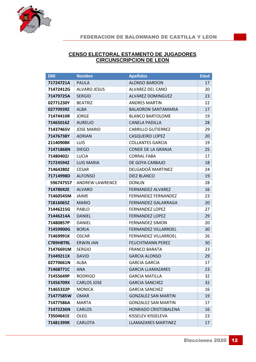

#### **CENSO ELECTORAL ESTAMENTO DE JUGADORES CIRCUNSCRIPCION DE LEON**

| <b>DNI</b> | <b>Nombre</b>          | <b>Apellidos</b>            | <b>Edad</b> |
|------------|------------------------|-----------------------------|-------------|
| 71724721A  | <b>PAULA</b>           | <b>ALONSO BARDON</b>        | 17          |
| 71472412G  | <b>ALVARO JESUS</b>    | ALVAREZ DEL CANO            | 20          |
| 71479725A  | <b>SERGIO</b>          | <b>ALVAREZ DOMINGUEZ</b>    | 23          |
| 02771230Y  | <b>BEATRIZ</b>         | <b>ANDRES MARTIN</b>        | 22          |
| 02770939Z  | <b>ALBA</b>            | <b>BALADRON SANTAMARIA</b>  | 17          |
| 71474410R  | <b>JORGE</b>           | <b>BLANCO BARTOLOME</b>     | 19          |
| 71465016Z  | <b>AURELIO</b>         | <b>CANELA PADILLA</b>       | 28          |
| 71437465V  | <b>JOSE MARIO</b>      | <b>CARRILLO GUTIERREZ</b>   | 29          |
| 71476738Y  | <b>ADRIAN</b>          | <b>CASQUEIRO LOPEZ</b>      | 20          |
| 21140908K  | <b>LUIS</b>            | <b>COLLANTES GARCIA</b>     | 19          |
| 71471868N  | <b>DIEGO</b>           | <b>CONDE DE LA GRANJA</b>   | 25          |
| 71480402J  | <b>LUCIA</b>           | <b>CORRAL FABA</b>          | 17          |
| 71724594Z  | <b>LUIS MARIA</b>      | DE GOYA CARBAJO             | 18          |
| 71464280Z  | <b>CESAR</b>           | DELGADOÂ'MARTINEZ           | 24          |
| 71714998D  | <b>ALFONSO</b>         | <b>DIEZ BLANCO</b>          | 19          |
| 596747557  | <b>ANDREW LAWRENCE</b> | <b>DONLIN</b>               | 28          |
| 71478042E  | <b>ALVARO</b>          | <b>FERNANDEZ ALVAREZ</b>    | 16          |
| 71460545M  | <b>JAIME</b>           | <b>FERNANDEZ FERNANDEZ</b>  | 23          |
| 71816065Z  | <b>MARIO</b>           | FERNANDEZ GALARRAGA         | 20          |
| 71446215G  | <b>PABLO</b>           | <b>FERNANDEZ LOPEZ</b>      | 27          |
| 71446214A  | <b>DANIEL</b>          | <b>FERNANDEZ LOPEZ</b>      | 29          |
| 71480857P  | <b>DANIEL</b>          | <b>FERNANDEZ SIMON</b>      | 20          |
| 71459900G  | <b>BORJA</b>           | <b>FERNANDEZ VILLARROEL</b> | 30          |
| 71469991K  | <b>OSCAR</b>           | <b>FERNANDEZ VILLARROEL</b> | 26          |
| C789H8TRL  | <b>ERWIN JAN</b>       | <b>FEUCHTMANN PEREZ</b>     | 30          |
| 71476691M  | <b>SERGIO</b>          | <b>FRANCO BARATA</b>        | 23          |
| 71449211X  | <b>DAVID</b>           | <b>GARCIA ALONSO</b>        | 29          |
| 02770661N  | ALBA                   | <b>GARCIA GARCIA</b>        | 17          |
| 71468771C  | <b>ANA</b>             | <b>GARCIA LLAMAZARES</b>    | 23          |
| 71455649P  | <b>RODRIGO</b>         | <b>GARCIA MATILLA</b>       | 32          |
| 71456709X  | <b>CARLOS JOSE</b>     | <b>GARCIA SANCHEZ</b>       | 32          |
| 71465332P  | <b>MONICA</b>          | <b>GARCIA SANCHEZ</b>       | 16          |
| 71477585W  | <b>OMAR</b>            | <b>GONZALEZ SAN MARTIN</b>  | 19          |
| 71477586A  | <b>MARTA</b>           | <b>GONZALEZ SAN MARTIN</b>  | 17          |
| 71472236N  | <b>CARLOS</b>          | HONRADO CRISTOBALENA        | 16          |
| 73504641E  | OLEG                   | KISSELEV KISSELEVA          | 23          |
| 71481399K  | <b>CARLOTA</b>         | LLAMAZARES MARTINEZ         | 17          |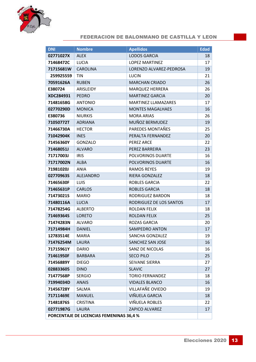

| <b>DNI</b>                                      | <b>Nombre</b>    | <b>Apellidos</b>           | <b>Edad</b> |
|-------------------------------------------------|------------------|----------------------------|-------------|
| 02771027X                                       | <b>ALEX</b>      | <b>LODOS GARCIA</b>        | 18          |
| 71468472C                                       | LUCIA            | <b>LOPEZ MARTINEZ</b>      | 17          |
| 71715681W                                       | <b>CAROLINA</b>  | LORENZO ALVAREZ-PEDROSA    | 19          |
| 259925559                                       | <b>TIN</b>       | <b>LUCIN</b>               | 21          |
| 70591626A                                       | <b>RUBEN</b>     | <b>MARCHAN CRIADO</b>      | 26          |
| E380724                                         | ARISLEIDY        | <b>MARQUEZ HERRERA</b>     | 26          |
| XDC284931                                       | <b>PEDRO</b>     | <b>MARTINEZ GARCIA</b>     | 20          |
| 71481658G                                       | <b>ANTONIO</b>   | <b>MARTINEZ LLAMAZARES</b> | 17          |
| 02770290D                                       | <b>MONICA</b>    | <b>MONTES MAGALHAES</b>    | 16          |
| E380736                                         | <b>NIURKIS</b>   | <b>MORA ARIAS</b>          | 26          |
| 71050772T                                       | <b>ADRIANA</b>   | MUÑOZ BERMUDEZ             | 19          |
| 71466730A                                       | <b>HECTOR</b>    | PAREDES MONTAÑES           | 25          |
| 71042904K                                       | <b>INES</b>      | PERALTA FERNANDEZ          | 20          |
| 71456360Y                                       | <b>GONZALO</b>   | <b>PEREZ ARCE</b>          | 22          |
| 71468051J                                       | <b>ALVARO</b>    | PEREZ BARREIRA             | 23          |
| 71717003J                                       | <b>IRIS</b>      | POLVORINOS DUARTE          | 16          |
| 71717002N                                       | <b>ALBA</b>      | POLVORINOS DUARTE          | 16          |
| 71981020J                                       | <b>ANIA</b>      | <b>RAMOS REYES</b>         | 19          |
| 02770963S                                       | <b>ALEJANDRO</b> | RIERA GONZALEZ             | 18          |
| 71465630F                                       | LUIS             | ROBLES GARCIA              | 22          |
| 71465631P                                       | <b>CARLOS</b>    | <b>ROBLES GARCIA</b>       | 18          |
| 71473021S                                       | <b>MARIO</b>     | RODRIGUEZ BARDON           | 18          |
| 71480116A                                       | <b>LUCIA</b>     | RODRIGUEZ DE LOS SANTOS    | 17          |
| 71478254G                                       | <b>ALBERTO</b>   | ROLDAN FELIX               | 18          |
| 71469364S                                       | <b>LORETO</b>    | ROLDAN FELIX               | 25          |
| 71474283N                                       | <b>ALVARO</b>    | <b>ROZAS GARCIA</b>        | 20          |
| 71714984H                                       | <b>DANIEL</b>    | <b>SAMPEDRO ANTON</b>      | 17          |
| 12783514E                                       | MARIA            | SANCHA GONZALEZ            | 19          |
| 71476254M                                       | <b>LAURA</b>     | SANCHEZ SAN JOSE           | 16          |
| 71715961Y                                       | <b>DARIO</b>     | <b>SANZ DE NICOLAS</b>     | 16          |
| 71461950F                                       | <b>BARBARA</b>   | <b>SECO PILO</b>           | 25          |
| 71456889Y                                       | <b>DIEGO</b>     | SEIVANE SIERRA             | 27          |
| 028833605                                       | <b>DINO</b>      | <b>SLAVIC</b>              | 27          |
| 71477568P                                       | <b>SERGIO</b>    | <b>TORIO FERNANDEZ</b>     | 18          |
| 71994034D                                       | <b>ANAIS</b>     | <b>VIDALES BLANCO</b>      | 16          |
| 71456728Y                                       | SALMA            | VILLAFAÑE OVIEDO           | 19          |
| 71711469E                                       | <b>MANUEL</b>    | VIÑUELA GARCIA             | 18          |
| 71481876S                                       | <b>CRISTINA</b>  | VIÑUELA ROBLES             | 22          |
| 02771987G                                       | <b>LAURA</b>     | <b>ZAPICO ALVAREZ</b>      | 17          |
| <b>PORCENTAJE DE LICENCIAS FEMENINAS 36,4 %</b> |                  |                            |             |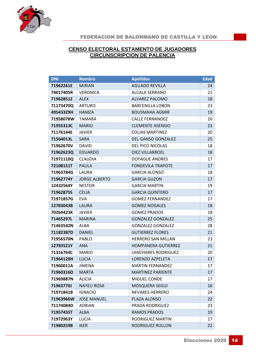

#### **CENSO ELECTORAL ESTAMENTO DE JUGADORES CIRCUNSCRIPCION DE PALENCIA**

| <b>DNI</b> | <b>Nombre</b>        | <b>Apellidos</b>           | <b>Edad</b> |
|------------|----------------------|----------------------------|-------------|
| 71962261E  | <b>MIRIAN</b>        | <b>AGUADO REVILLA</b>      | 24          |
| 74017405R  | <b>VERONICA</b>      | <b>ALCALA SERRANO</b>      | 21          |
| 71962851Z  | <b>ALEX</b>          | <b>ALVAREZ PALOMO</b>      | 18          |
| 71173470Q  | <b>ARTURO</b>        | <b>BARCENILLA LOBON</b>    | 23          |
| 49543329H  | <b>HAMZA</b>         | <b>BOUSMAHA AGMIR</b>      | 19          |
| 71958078W  | <b>TAMARA</b>        | <b>CALLE FERNANDEZ</b>     | 20          |
| 71955313C  | <b>MARIO</b>         | <b>CLEMENTE ASENSIO</b>    | 23          |
| 71176144E  | <b>JAVIER</b>        | <b>COLIAS MARTINEZ</b>     | 20          |
| 71564013L  | <b>SARA</b>          | DEL GANSO GONZALEZ         | 25          |
| 71962670V  | <b>DAVID</b>         | DEL PICO NICOLAS           | 18          |
| 71962623Q  | <b>EDUARDO</b>       | DIEZ VILLARROEL            | 18          |
| 71971110Q  | <b>CLAUDIA</b>       | <b>DOYAGUE ANDRES</b>      | 17          |
| 72108151T  | <b>PAULA</b>         | <b>FONDEVILA TRAPOTE</b>   | 17          |
| 71963784G  | LAURA                | <b>GARCIA ALONSO</b>       | 18          |
| 71962774Y  | <b>JORGE ALBERTO</b> | <b>GARCIA GUZON</b>        | 17          |
| 12432564Y  | <b>NESTOR</b>        | <b>GARCIA MARTIN</b>       | 19          |
| 71962875S  | <b>CELIA</b>         | <b>GARCIA QUINTERO</b>     | 17          |
| 71971857G  | <b>EVA</b>           | <b>GOMEZ FERNANDEZ</b>     | 17          |
| 12783043B  | LAURA                | <b>GOMEZ NOGALES</b>       | 18          |
| 70264423K  | <b>JAVIER</b>        | <b>GOMEZ PRADOS</b>        | 18          |
| 71465297L  | <b>MARINA</b>        | <b>GONZALEZ GONZALEZ</b>   | 25          |
| 71463542N  | <b>ALBA</b>          | <b>GONZALEZ GONZALEZ</b>   | 28          |
| 71182387D  | <b>DANIEL</b>        | <b>GUTIERREZ FLORES</b>    | 21          |
| 71956570N  | PABLO                | <b>HERRERO SAN MILLAN</b>  | 23          |
| 12783521Y  | <b>ANA</b>           | HOMPANERA GUTIERREZ        | 21          |
| 71316764C  | <b>MARIO</b>         | <b>LANCHARES RODRIGUEZ</b> | 20          |
| 71964120H  | <b>LUCIA</b>         | LORENZO AZPELETA           | 17          |
| 71960011A  | JIMENA               | <b>MARTIN FERNANDEZ</b>    | 17          |
| 71960316D  | <b>MARTA</b>         | <b>MARTINEZ PARIENTE</b>   | 17          |
| 71969887N  | <b>ALICIA</b>        | MIGUEL CONDE               | 17          |
| 71963770J  | <b>NAYELI ROSA</b>   | <b>MOSQUERA SEGUI</b>      | 16          |
| 71971841B  | <b>IGNACIO</b>       | <b>NEVARES HERRERO</b>     | 24          |
| 71963966W  | <b>JOSE MANUEL</b>   | PLAZA ALONSO               | 22          |
| 71174084D  | <b>ADRIAN</b>        | <b>PRADA RODRIGUEZ</b>     | 23          |
| 71957455T  | <b>ALBA</b>          | <b>RAMOS PRADOS</b>        | 19          |
| 71972963Y  | LUCIA                | RODRIGUEZ MARTIN           | 17          |
| 71980259B  | <b>IKER</b>          | RODRIGUEZ ROLLON           | 22          |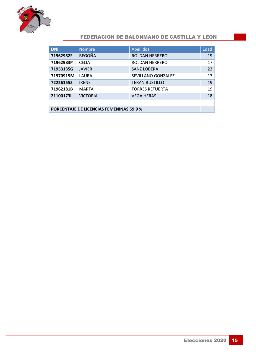

| <b>DNI</b>                                     | <b>Nombre</b>   | <b>Apellidos</b>       | Edad |
|------------------------------------------------|-----------------|------------------------|------|
| 71962982F                                      | <b>BEGOÑA</b>   | <b>ROLDAN HERRERO</b>  | 19   |
| 71962983P                                      | <b>CELIA</b>    | <b>ROLDAN HERRERO</b>  | 17   |
| 71953135G                                      | <b>JAVIER</b>   | <b>SANZ LOBERA</b>     | 23   |
| 71970915M                                      | LAURA           | SEVILLANO GONZALEZ     | 17   |
| 72226155Z                                      | <b>IRENE</b>    | <b>TERAN BUSTILLO</b>  | 19   |
| 71962181B                                      | <b>MARTA</b>    | <b>TORRES RETUERTA</b> | 19   |
| 21100173L                                      | <b>VICTORIA</b> | <b>VEGA HERAS</b>      | 18   |
|                                                |                 |                        |      |
| <b>PORCENTAJE DE LICENCIAS FEMENINAS 59,9%</b> |                 |                        |      |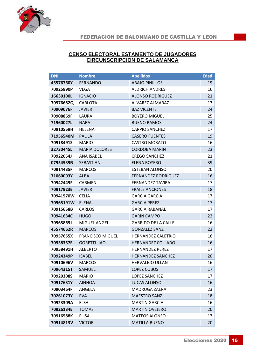

#### **CENSO ELECTORAL ESTAMENTO DE JUGADORES CIRCUNSCRIPCION DE SALAMANCA**

| <b>DNI</b> | <b>Nombre</b>           | <b>Apellidos</b>           | <b>Edad</b> |
|------------|-------------------------|----------------------------|-------------|
| 45576760Y  | <b>FERNANDO</b>         | <b>ABAJO PINILLOS</b>      | 19          |
| 70925890P  | VEGA                    | <b>ALDRICH ANDRES</b>      | 16          |
| 16630100L  | <b>IGNACIO</b>          | <b>ALONSO RODRIGUEZ</b>    | 21          |
| 70976682Q  | CARLOTA                 | ALVAREZ ALMARAZ            | 17          |
| 70909076F  | <b>JAVIER</b>           | <b>BAZ VICENTE</b>         | 24          |
| 70908869F  | LAURA                   | <b>BOYERO MIGUEL</b>       | 25          |
| 71960027L  | <b>NARA</b>             | <b>BUENO RAMOS</b>         | 24          |
| 70910559H  | HELENA                  | <b>CARPIO SANCHEZ</b>      | 17          |
| 71956540M  | <b>PAULA</b>            | <b>CASERO FUENTES</b>      | 19          |
| 70918491S  | <b>MARIO</b>            | <b>CASTRO MORATO</b>       | 16          |
| 32730445L  | <b>MARIA DOLORES</b>    | <b>CORDOBA MARIN</b>       | 23          |
| 70922054J  | <b>ANA ISABEL</b>       | <b>CREGO SANCHEZ</b>       | 21          |
| 07954539N  | SEBASTIAN               | <b>ELENA BOYERO</b>        | 39          |
| 70914435F  | <b>MARCOS</b>           | <b>ESTEBAN ALONSO</b>      | 20          |
| 71060093Y  | <b>ALBA</b>             | <b>FERNANDEZ RODRIGUEZ</b> | 16          |
| 70942449F  | <b>CARMEN</b>           | <b>FERNANDEZ TAVIRA</b>    | 17          |
| 70917923E  | <b>JAVIER</b>           | <b>FRAILE ANCIONES</b>     | 18          |
| 70941570W  | <b>CELIA</b>            | <b>GARCIA GARCIA</b>       | 17          |
| 70965191W  | <b>ELENA</b>            | <b>GARCIA PEREZ</b>        | 17          |
| 70915658B  | <b>CARLOS</b>           | <b>GARCIA RABANAL</b>      | 17          |
| 70941634C  | <b>HUGO</b>             | <b>GARIN CAMPO</b>         | 22          |
| 70965869J  | MIGUEL ANGEL            | <b>GARRIDO DE LA CALLE</b> | 16          |
| 45574662R  | <b>MARCOS</b>           | <b>GONZALEZ SANZ</b>       | 22          |
| 70957655X  | <b>FRANCISCO MIGUEL</b> | <b>HERNANDEZ CALETRIO</b>  | 16          |
| 70958357E  | <b>GORETTI JIAO</b>     | HERNANDEZ COLLADO          | 16          |
| 70958491H  | <b>ALBERTO</b>          | <b>HERNANDEZ PEREZ</b>     | 17          |
| 70924349P  | <b>ISABEL</b>           | <b>HERNANDEZ SANCHEZ</b>   | 20          |
| 70910696V  | <b>MARCOS</b>           | <b>HERVALEJO ULLAN</b>     | 16          |
| 70964315T  | SAMUEL                  | LOPEZ COBOS                | 17          |
| 70920308S  | <b>MARIO</b>            | <b>LOPEZ SANCHEZ</b>       | 17          |
| 70917631Y  | <b>AINHOA</b>           | LUCAS ALONSO               | 16          |
| 70903464F  | ANGELA                  | <b>MADRUGA ZAERA</b>       | 23          |
| 70261073Y  | <b>EVA</b>              | <b>MAESTRO SANZ</b>        | 18          |
| 70923309A  | ELSA                    | <b>MARTIN GARCIA</b>       | 16          |
| 70926134E  | <b>TOMAS</b>            | <b>MARTIN OVEJERO</b>      | 20          |
| 70916588K  | ELISA                   | <b>MATEOS ALONSO</b>       | 17          |
| 70914813V  | <b>VICTOR</b>           | <b>MATILLA BUENO</b>       | 20          |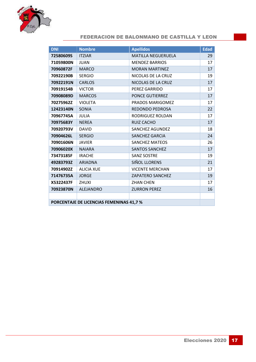

| <b>DNI</b>                               | <b>Nombre</b>     | <b>Apellidos</b>          | <b>Edad</b> |
|------------------------------------------|-------------------|---------------------------|-------------|
| 72580609S                                | <b>ITZIAR</b>     | <b>MATILLA NEGUERUELA</b> | 29          |
| 71059800N                                | <b>JUAN</b>       | <b>MENDEZ BARRIOS</b>     | 17          |
| 70960872F                                | <b>MARCO</b>      | <b>MORAN MARTINEZ</b>     | 17          |
| 70922190B                                | <b>SERGIO</b>     | NICOLAS DE LA CRUZ        | 19          |
| 70922191N                                | <b>CARLOS</b>     | NICOLAS DE LA CRUZ        | 17          |
| 70919154B                                | <b>VICTOR</b>     | PEREZ GARRIDO             | 17          |
| 70908089D                                | <b>MARCOS</b>     | <b>PONCE GUTIERREZ</b>    | 17          |
| 70275962Z                                | <b>VIOLETA</b>    | PRADOS MARIGOMEZ          | 17          |
| 12423140N                                | SONIA             | <b>REDONDO PEDROSA</b>    | 22          |
| 70967745A                                | <b>JULIA</b>      | RODRIGUEZ ROLDAN          | 17          |
| 70975683Y                                | <b>NEREA</b>      | <b>RUIZ CACHO</b>         | 17          |
| 70920793V                                | <b>DAVID</b>      | SANCHEZ AGUNDEZ           | 18          |
| 70904626L                                | <b>SERGIO</b>     | <b>SANCHEZ GARCIA</b>     | 24          |
| 70901606N                                | <b>JAVIER</b>     | <b>SANCHEZ MATEOS</b>     | 26          |
| 70906020X                                | <b>NAIARA</b>     | <b>SANTOS SANCHEZ</b>     | 17          |
| 73473185F                                | <b>IRACHE</b>     | <b>SANZ SOSTRE</b>        | 19          |
| 49283793Z                                | <b>ARIADNA</b>    | SIÑOL LLORENS             | 21          |
| 70914902Z                                | <b>ALICIA XUE</b> | <b>VICENTE MERCHAN</b>    | 17          |
| 71476735A                                | <b>JORGE</b>      | <b>ZAPATERO SANCHEZ</b>   | 19          |
| X5322437F                                | <b>ZHUXI</b>      | <b>ZHAN CHEN</b>          | 17          |
| 70923870N                                | <b>ALEJANDRO</b>  | <b>ZURRON PEREZ</b>       | 16          |
|                                          |                   |                           |             |
| PORCENTAJE DE LICENCIAS FEMENINAS 41,7 % |                   |                           |             |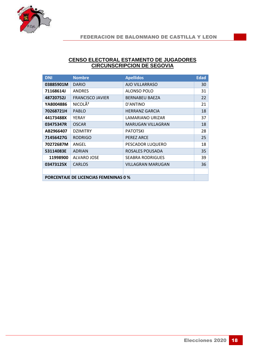

#### **CENSO ELECTORAL ESTAMENTO DE JUGADORES CIRCUNSCRIPCION DE SEGOVIA**

| <b>DNI</b>                                   | <b>Nombre</b>           | <b>Apellidos</b>         | <b>Edad</b>     |
|----------------------------------------------|-------------------------|--------------------------|-----------------|
| 03885901M                                    | <b>DARIO</b>            | AJO VILLARRASO           | 30 <sup>1</sup> |
| 71168614J                                    | <b>ANDRES</b>           | ALONSO POLO              | 31              |
| 48720752J                                    | <b>FRANCISCO JAVIER</b> | <b>BERNABEU BAEZA</b>    | 22              |
| YA8004886                                    | NICOLÃ <sup>2</sup>     | D'ANTINO                 | 21              |
| 70268721H                                    | <b>PABLO</b>            | <b>HERRANZ GARCIA</b>    | 18              |
| 44173488X                                    | YERAY                   | LAMARIANO URIZAR         | 37              |
| 03475347R                                    | <b>OSCAR</b>            | <b>MARUGAN VILLAGRAN</b> | 18              |
| AB2966407                                    | <b>DZIMITRY</b>         | <b>PATOTSKI</b>          | 28              |
| 71456427G                                    | <b>RODRIGO</b>          | <b>PEREZ ARCE</b>        | 25              |
| 70272687M                                    | ANGEL                   | PESCADOR LUQUERO         | 18              |
| 53114083E                                    | <b>ADRIAN</b>           | ROSALES POUSADA          | 35              |
| 11998900                                     | <b>ALVARO JOSE</b>      | <b>SEABRA RODRIGUES</b>  | 39              |
| 03473125X                                    | <b>CARLOS</b>           | <b>VILLAGRAN MARUGAN</b> | 36              |
|                                              |                         |                          |                 |
| <b>PORCENTAJE DE LICENCIAS FEMENINAS 0 %</b> |                         |                          |                 |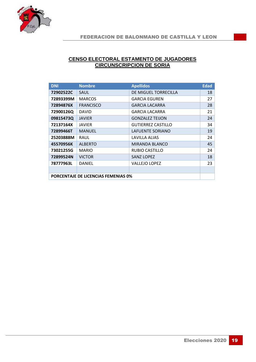

#### **CENSO ELECTORAL ESTAMENTO DE JUGADORES CIRCUNSCRIPCION DE SORIA**

| <b>DNI</b>                                 | <b>Nombre</b>    | <b>Apellidos</b>          | <b>Edad</b> |
|--------------------------------------------|------------------|---------------------------|-------------|
| 72902522C                                  | SAUL             | DE MIGUEL TORRECILLA      | 18          |
| 72893399M                                  | <b>MARCOS</b>    | <b>GARCIA EGUREN</b>      | 27          |
| 72894876X                                  | <b>FRANCISCO</b> | <b>GARCIA LACARRA</b>     | 28          |
| 72900126Q                                  | <b>DAVID</b>     | <b>GARCIA LACARRA</b>     | 21          |
| 09815473Q                                  | <b>JAVIER</b>    | <b>GONZALEZ TEIJON</b>    | 24          |
| 72137164X                                  | <b>JAVIER</b>    | <b>GUTIERREZ CASTILLO</b> | 34          |
| 72899466T                                  | <b>MANUEL</b>    | LAFUENTE SORIANO          | 19          |
| 25203888M                                  | RAUL             | LAVILLA ALIAS             | 24          |
| 45570956K                                  | <b>ALBERTO</b>   | MIRANDA BLANCO            | 45          |
| 73021255G                                  | <b>MARIO</b>     | <b>RUBIO CASTILLO</b>     | 24          |
| 72899524N                                  | <b>VICTOR</b>    | <b>SANZ LOPEZ</b>         | 18          |
| 78777963L                                  | <b>DANIEL</b>    | <b>VALLEJO LOPEZ</b>      | 23          |
|                                            |                  |                           |             |
| <b>PORCENTAJE DE LICENCIAS FEMENIAS 0%</b> |                  |                           |             |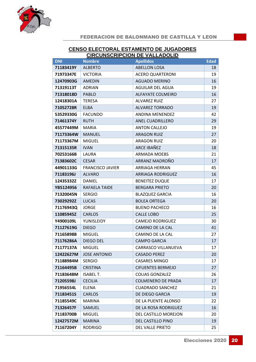

#### **CENSO ELECTORAL ESTAMENTO DE JUGADORES CIRCUNSCRIPCION DE VALLADOLID**

| <b>DNI</b> | <b>Nombre</b>           | <b>Apellidos</b>          | <b>Edad</b> |
|------------|-------------------------|---------------------------|-------------|
| 71183419Y  | <b>ALBERTO</b>          | <b>ABELLON LOSA</b>       | 18          |
| 71973347E  | <b>VICTORIA</b>         | <b>ACERO QUARTERONI</b>   | 19          |
| 12470903G  | <b>AMEDIN</b>           | <b>AGUADO MERINO</b>      | 16          |
| 71319113T  | <b>ADRIAN</b>           | AGUILAR DEL AGUA          | 19          |
| 71318018D  | <b>PABLO</b>            | <b>ALFAYATE COLMEIRO</b>  | 16          |
| 12418301A  | <b>TERESA</b>           | <b>ALVAREZ RUIZ</b>       | 27          |
| 71052728R  | <b>ELBA</b>             | <b>ALVAREZ TORRADO</b>    | 19          |
| 53529330G  | <b>FACUNDO</b>          | <b>ANDINA MENENDEZ</b>    | 42          |
| 71461374Y  | <b>RUTH</b>             | ANEL CUADRILLERO          | 29          |
| 45577449M  | <b>MARIA</b>            | <b>ANTON CALLEJO</b>      | 19          |
| 71173364W  | <b>MANUEL</b>           | <b>ARAGON RUIZ</b>        | 27          |
| 71173367M  | <b>MIGUEL</b>           | <b>ARAGON RUIZ</b>        | 20          |
| 71315135R  | <b>IVAN</b>             | ARCE IBAÑEZ               | 18          |
| 70253166B  | LAURA                   | <b>ARMADA MOEBS</b>       | 21          |
| 71383602C  | <b>CESAR</b>            | ARRANZ MADROÑO            | 17          |
| 44901133G  | <b>FRANCISCO JAVIER</b> | <b>ARRIAGA HERRAN</b>     | 45          |
| 71183196J  | <b>ALVARO</b>           | <b>ARRIAGA RODRIGUEZ</b>  | 16          |
| 12435332Z  | <b>DANIEL</b>           | <b>BENEITEZ DUQUE</b>     | 17          |
| YB5124956  | RAFAELA TAIDE           | <b>BERGARA PRIETO</b>     | 20          |
| 71320045N  | <b>SERGIO</b>           | <b>BLAZQUEZ GARCIA</b>    | 16          |
| 73029292Z  | <b>LUCAS</b>            | <b>BOLEA ORTEGA</b>       | 20          |
| 71176943Q  | <b>JORGE</b>            | <b>BUENO PACHECO</b>      | 16          |
| 11085945Z  | <b>CARLOS</b>           | <b>CALLE LOBO</b>         | 25          |
| Y4900109L  | YUNISLEIDY              | <b>CAMEJO RODRIGUEZ</b>   | 30          |
| 71127619G  | <b>DIEGO</b>            | CAMINO DE LA CAL          | 41          |
| 71165898B  | <b>MIGUEL</b>           | CAMINO DE LA CAL          | 27          |
| 71176286A  | DIEGO DEL               | <b>CAMPO GARCIA</b>       | 17          |
| 71177137A  | <b>MIGUEL</b>           | CARRASCO VILLANUEVA       | 17          |
| 12422627M  | <b>JOSE ANTONIO</b>     | <b>CASADO PEREZ</b>       | 20          |
| 71188984M  | <b>SERGIO</b>           | <b>CASARES MINGO</b>      | 17          |
| 71164495B  | <b>CRISTINA</b>         | <b>CIFUENTES BERMEJO</b>  | 27          |
| 71183648M  | <b>ISABEL T.</b>        | <b>COLIAS GONZALEZ</b>    | 26          |
| 71205598J  | <b>CECILIA</b>          | <b>COLMENERO DE PRADA</b> | 17          |
| 71956554L  | <b>ELENA</b>            | <b>CUADRADO SANCHEZ</b>   | 21          |
| 71183451S  | <b>CARLOS</b>           | DE DIEGO GARCIA           | 19          |
| 71185549C  | <b>MARINA</b>           | DE LA PUENTE ALONSO       | 22          |
| 71326457F  | SAMUEL                  | DE LA ROSA RODRIGUEZ      | 16          |
| 71183700B  | <b>MIGUEL</b>           | DEL CASTILLO MOREJON      | 20          |
| 12427572M  | <b>MARINA</b>           | DEL CASTILLO PINO         | 19          |
| 71167204Y  | <b>RODRIGO</b>          | DEL VALLE PRIETO          | 25          |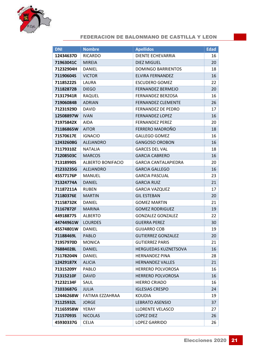

| <b>DNI</b> | <b>Nombre</b>            | <b>Apellidos</b>            | <b>Edad</b> |
|------------|--------------------------|-----------------------------|-------------|
| 12434637D  | <b>RICARDO</b>           | DIENTE ECHEVARRIA           | 16          |
| 71963041C  | <b>MIREIA</b>            | <b>DIEZ MIGUEL</b>          | 20          |
| 71232904H  | DANIEL                   | <b>DOMINGO BARRIENTOS</b>   | 18          |
| 71190604S  | <b>VICTOR</b>            | ELVIRA FERNANDEZ            | 16          |
| 71185222S  | LAURA                    | <b>ESCUDERO GOMEZ</b>       | 22          |
| 71182872B  | <b>DIEGO</b>             | <b>FERNANDEZ BERMEJO</b>    | 20          |
| 71317941R  | <b>RAQUEL</b>            | <b>FERNANDEZ BERZOSA</b>    | 16          |
| 71906084B  | <b>ADRIAN</b>            | <b>FERNANDEZ CLEMENTE</b>   | 26          |
| 71231929D  | <b>DAVID</b>             | <b>FERNANDEZ DE PEDRO</b>   | 17          |
| 12508897W  | <b>IVAN</b>              | <b>FERNANDEZ LOPEZ</b>      | 16          |
| 71975842X  | <b>AIDA</b>              | <b>FERNANDEZ PEREZ</b>      | 20          |
| 71186865W  | <b>AITOR</b>             | FERRERO MADROÑO             | 18          |
| 71570617E  | <b>IGNACIO</b>           | <b>GALLEGO GOMEZ</b>        | 16          |
| 12432608G  | <b>ALEJANDRO</b>         | <b>GANGOSO OROBON</b>       | 16          |
| 71179310Z  | <b>NATALIA</b>           | <b>GARCES DEL VAL</b>       | 18          |
| 71208503C  | <b>MARCOS</b>            | <b>GARCIA CABRERO</b>       | 16          |
| 71318990S  | <b>ALBERTO BONIFACIO</b> | <b>GARCIA CANTALAPIEDRA</b> | 20          |
| 71233235G  | <b>ALEJANDRO</b>         | <b>GARCIA GALLEGO</b>       | 16          |
| 45577176P  | <b>MANUEL</b>            | <b>GARCIA PASCUAL</b>       | 23          |
| 71324774A  | <b>DANIEL</b>            | <b>GARCIA RUIZ</b>          | 21          |
| 71187211A  | <b>RUBEN</b>             | <b>GARCIA VAZQUEZ</b>       | 17          |
| 71180376E  | <b>MARTIN</b>            | <b>GIL ESTEBAN</b>          | 20          |
| 71158732K  | <b>DANIEL</b>            | <b>GOMEZ MARTIN</b>         | 21          |
| 71167872F  | <b>MARINA</b>            | <b>GOMEZ RODRIGUEZ</b>      | 19          |
| 44918877S  | <b>ALBERTO</b>           | <b>GONZALEZ GONZALEZ</b>    | 22          |
| 44744961W  | <b>LOURDES</b>           | <b>GUERRA PEREZ</b>         | 30          |
| 45574801W  | <b>DANIEL</b>            | <b>GUIJARRO COB</b>         | 19          |
| 71188469L  | PABLO                    | <b>GUTIERREZ GONZALEZ</b>   | 20          |
| 71957970D  | <b>MONICA</b>            | <b>GUTIERREZ PARIS</b>      | 21          |
| 76884028L  | <b>DANIEL</b>            | <b>HERGUEDAS KUZNETSOVA</b> | 16          |
| 71178204N  | <b>DANIEL</b>            | <b>HERNANDEZ PINA</b>       | 28          |
| 12429187X  | <b>ALICIA</b>            | <b>HERNANDEZ VALLES</b>     | 21          |
| 71315209Y  | PABLO                    | <b>HERRERO POLVOROSA</b>    | 16          |
| 71315210F  | <b>DAVID</b>             | <b>HERRERO POLVOROSA</b>    | 16          |
| 71232134F  | SAUL                     | <b>HIERRO CRIADO</b>        | 16          |
| 71033687G  | <b>JULIA</b>             | <b>IGLESIAS CRESPO</b>      | 24          |
| 12446268W  | FATIMA EZZAHRAA          | <b>KOUDIA</b>               | 19          |
| 71125932L  | <b>JORGE</b>             | LEBRATO ASENSIO             | 37          |
| 71165958W  | YERAY                    | LLORENTE VELASCO            | 27          |
| 71157093S  | <b>NICOLAS</b>           | <b>LOPEZ DIEZ</b>           | 26          |
| 45930337G  | <b>CELIA</b>             | <b>LOPEZ GARRIDO</b>        | 26          |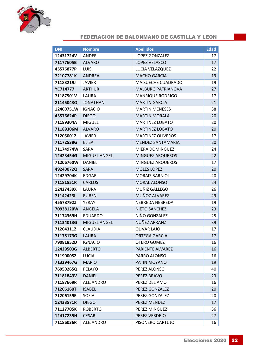

| <b>DNI</b>      | <b>Nombre</b>    | <b>Apellidos</b>          | <b>Edad</b>     |
|-----------------|------------------|---------------------------|-----------------|
| 12431724V       | <b>ANDER</b>     | LOPEZ GONZALEZ            | 17 <sup>1</sup> |
| 71177605B       | <b>ALVARO</b>    | LOPEZ VELASCO             | 17              |
| 45576877P       | LUIS             | LUCIA VELAZQUEZ           | 22              |
| 72107781K       | <b>ANDREA</b>    | <b>MACHO GARCIA</b>       | 19              |
| 71183219J       | <b>JAVIER</b>    | <b>MAISUECHE CUADRADO</b> | 19              |
| <b>YC714777</b> | <b>ARTHUR</b>    | <b>MALBURG PATRIANOVA</b> | 27              |
| 71187501V       | LAURA            | <b>MANRIQUE RODRIGO</b>   | 17              |
| 21145043Q       | <b>JONATHAN</b>  | <b>MARTIN GARCIA</b>      | 21              |
| 12400751W       | <b>IGNACIO</b>   | <b>MARTIN MENESES</b>     | 38              |
| 45576624P       | <b>DIEGO</b>     | <b>MARTIN MORALA</b>      | 20              |
| 71189304A       | <b>MIGUEL</b>    | <b>MARTINEZ LOBATO</b>    | 20              |
| 71189306M       | <b>ALVARO</b>    | <b>MARTINEZ LOBATO</b>    | 20              |
| 71205001Z       | <b>JAVIER</b>    | <b>MARTINEZ OLIVEROS</b>  | 17              |
| 71172538G       | <b>ELISA</b>     | MENDEZ SANTAMARIA         | 20              |
| 71174974W       | SARA             | <b>MIERA DOMINGUEZ</b>    | 24              |
| 12423454G       | MIGUEL ANGEL     | <b>MINGUEZ ARQUEROS</b>   | 22              |
| 71206760W       | <b>DANIEL</b>    | <b>MINGUEZ ARQUEROS</b>   | 17              |
| 49240072Q       | <b>SARA</b>      | <b>MOLES LOPEZ</b>        | 20              |
| 12429704K       | <b>EDGAR</b>     | <b>MORAIS BARNIOL</b>     | 20              |
| 71181551R       | <b>CARLOS</b>    | <b>MORAL ALONSO</b>       | 24              |
| 12427439X       | LAURA            | MUÑIZ GALLEGO             | 26              |
| 71142423L       | <b>RUBEN</b>     | MUÑOZ ALVAREZ             | 29              |
| 45578792Z       | YERAY            | NEBREDA NEBREDA           | 19              |
| 70938120W       | ANGELA           | NIETO SANCHEZ             | 23              |
| 71174369H       | <b>EDUARDO</b>   | NIÑO GONZALEZ             | 25              |
| 71134013G       | MIGUEL ANGEL     | NUÑEZ ARRANZ              | 39              |
| 71204311Z       | <b>CLAUDIA</b>   | <b>OLIVAR LAJO</b>        | 17              |
| 71178173G       | LAURA            | <b>ORTEGA GARCIA</b>      | 17              |
| 79081852D       | <b>IGNACIO</b>   | OTERO GOMEZ               | 16              |
| 12429503G       | <b>ALBERTO</b>   | <b>PARIENTE ALVAREZ</b>   | 16              |
| 71190005Z       | <b>LUCIA</b>     | PARRO ALONSO              | 16              |
| 71329467G       | <b>MARIO</b>     | PATIN MOYANO              | 19              |
| 76950265Q       | <b>PELAYO</b>    | PEREZ ALONSO              | 40              |
| 71181843V       | <b>DANIEL</b>    | PEREZ BRAVO               | 23              |
| 71187669R       | <b>ALEJANDRO</b> | PEREZ DEL AMO             | 16              |
| 71206160T       | <b>ISABEL</b>    | PEREZ GONZALEZ            | 20              |
| 71206159E       | <b>SOFIA</b>     | PEREZ GONZALEZ            | 20              |
| 12433571R       | <b>DIEGO</b>     | PEREZ MENDEZ              | 17              |
| 71127705K       | <b>ROBERTO</b>   | PEREZ MINGUEZ             | 36              |
| 12417235H       | <b>CESAR</b>     | PEREZ VERDEJO             | 27              |
| 71186036R       | ALEJANDRO        | PISONERO CARTUJO          | 16              |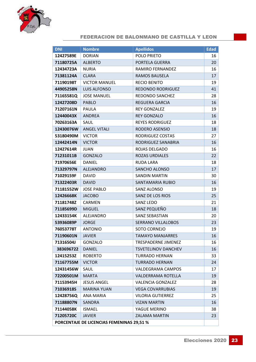

| <b>DNI</b>                                | <b>Nombre</b>        | <b>Apellidos</b>           | <b>Edad</b> |
|-------------------------------------------|----------------------|----------------------------|-------------|
| 12427589E                                 | <b>DORIAN</b>        | POLO PRIETO                | 16          |
| 71180725A                                 | <b>ALBERTO</b>       | PORTELA GUERRA             | 20          |
| 12434723A                                 | <b>NURIA</b>         | <b>RAMIRO FERNANDEZ</b>    | 16          |
| 71381124A                                 | <b>CLARA</b>         | <b>RAMOS BAUSELA</b>       | 17          |
| 71190198T                                 | <b>VICTOR MANUEL</b> | <b>RECIO BENITO</b>        | 19          |
| 44905258N                                 | <b>LUIS ALFONSO</b>  | <b>REDONDO RODRIGUEZ</b>   | 41          |
| 71165581Q                                 | <b>JOSE MANUEL</b>   | REDONDO SANCHEZ            | 28          |
| 12427208D                                 | <b>PABLO</b>         | <b>REGUERA GARCIA</b>      | 16          |
| 71207161N                                 | <b>PAULA</b>         | <b>REY GONZALEZ</b>        | 19          |
| 12440043X                                 | <b>ANDREA</b>        | <b>REY GONZALO</b>         | 16          |
| 70263163A                                 | SAUL                 | <b>REYES RODRIGUEZ</b>     | 18          |
| 12430076W                                 | <b>ANGEL VITALI</b>  | RODERO ASENSIO             | 18          |
| 53180490M                                 | <b>VICTOR</b>        | RODRIGUEZ COSTAS           | 27          |
| 12442414N                                 | <b>VICTOR</b>        | RODRIGUEZ SANABRIA         | 16          |
| 12427614R                                 | <b>JUAN</b>          | ROJAS DELGADO              | 16          |
| 71231011B                                 | <b>GONZALO</b>       | <b>ROZAS URDIALES</b>      | 22          |
| 71970656E                                 | <b>DANIEL</b>        | <b>RUDA LARA</b>           | 18          |
| 71329797N                                 | <b>ALEJANDRO</b>     | SANCHO ALONSO              | 17          |
| 71029159F                                 | <b>DAVID</b>         | <b>SANDIN MARTIN</b>       | 30          |
| 71322403R                                 | <b>DAVID</b>         | <b>SANTAMARIA RUBIO</b>    | 16          |
| 71181552W                                 | <b>JOSE PABLO</b>    | SANZ ALONSO                | 19          |
| 12426668K                                 | <b>JACOBO</b>        | SANZ DE LOS RIOS           | 25          |
| 71181748Z                                 | CARMEN               | <b>SANZ LEDO</b>           | 21          |
| 71185699D                                 | <b>MIGUEL</b>        | SANZ PEQUEÑO               | 18          |
| 12433154K                                 | <b>ALEJANDRO</b>     | <b>SANZ SEBASTIAN</b>      | 20          |
| 53936089P                                 | <b>JORGE</b>         | <b>SERRANO VILLALOBOS</b>  | 23          |
| 76053778T                                 | <b>ANTONIO</b>       | SOTO CORNEJO               | 19          |
| 71190601N                                 | <b>JAVIER</b>        | <b>TAMAYO MANJARRES</b>    | 16          |
| 71316504J                                 | GONZALO              | TRESPADERNE JIMENEZ        | 16          |
| 383696722                                 | <b>DANIEL</b>        | <b>TSVETELINOV DANCHEV</b> | 16          |
| 12415253Z                                 | <b>ROBERTO</b>       | <b>TURRADO HERNAN</b>      | 33          |
| 71167755M                                 | <b>VICTOR</b>        | <b>TURRADO HERNAN</b>      | 24          |
| 12431456W                                 | SAUL                 | VALDEGRAMA CAMPOS          | 17          |
| 72200501M                                 | <b>MARTA</b>         | <b>VALDERRAMA ROTELLA</b>  | 19          |
| 71153945H                                 | <b>JESUS ANGEL</b>   | <b>VALENCIA GONZALEZ</b>   | 28          |
| 71036918S                                 | <b>MARINA YUAN</b>   | <b>VEGA COVARRUBIAS</b>    | 19          |
| 12428756Q                                 | ANA MARIA            | <b>VILORIA GUTIERREZ</b>   | 25          |
| 71188807N                                 | <b>SANDRA</b>        | <b>VIZAN MARTIN</b>        | 16          |
| 71144058K                                 | <b>ISMAEL</b>        | YAGUE MERINO               | 38          |
| 71205720C                                 | <b>JAVIER</b>        | <b>ZALAMA MARTIN</b>       | 23          |
| PORCENTAJE DE LICENCIAS FEMENINAS 29,51 % |                      |                            |             |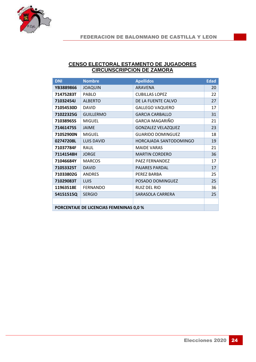

#### **CENSO ELECTORAL ESTAMENTO DE JUGADORES CIRCUNSCRIPCION DE ZAMORA**

| <b>DNI</b>                              | <b>Nombre</b>     | <b>Apellidos</b>          | <b>Edad</b> |
|-----------------------------------------|-------------------|---------------------------|-------------|
| YB3889866                               | <b>JOAQUIN</b>    | <b>ARAVENA</b>            | 20          |
| 71475283T                               | <b>PABLO</b>      | <b>CUBILLAS LOPEZ</b>     | 22          |
| 71032454J                               | <b>ALBERTO</b>    | DE LA FUENTE CALVO        | 27          |
| 71054530D                               | <b>DAVID</b>      | <b>GALLEGO VAQUERO</b>    | 17          |
| 71022325G                               | <b>GUILLERMO</b>  | <b>GARCIA CARBALLO</b>    | 31          |
| 71038965S                               | <b>MIGUEL</b>     | GARCIA MAGARIÑO           | 21          |
| 71461475S                               | <b>JAIME</b>      | <b>GONZALEZ VELAZQUEZ</b> | 23          |
| 71052900N                               | <b>MIGUEL</b>     | <b>GUARIDO DOMINGUEZ</b>  | 18          |
| 02747208L                               | <b>LUIS DAVID</b> | HORCAJADA SANTODOMINGO    | 19          |
| 71037784F                               | <b>RAUL</b>       | <b>MAIDE VARAS</b>        | 21          |
| 71141548H                               | <b>JORGE</b>      | <b>MARTIN CORDERO</b>     | 36          |
| 71046684Y                               | <b>MARCOS</b>     | PAEZ FERNANDEZ            | 17          |
| 71053325T                               | <b>DAVID</b>      | <b>PAJARES PARDAL</b>     | 17          |
| 71033802G                               | <b>ANDRES</b>     | PEREZ BARBA               | 25          |
| 71029083T                               | LUIS              | POSADO DOMINGUEZ          | 25          |
| 11963518E                               | <b>FERNANDO</b>   | RUIZ DEL RIO              | 36          |
| 54151515Q                               | <b>SERGIO</b>     | SARASOLA CARRERA          | 25          |
|                                         |                   |                           |             |
| PORCENTAJE DE LICENCIAS FEMENINAS 0,0 % |                   |                           |             |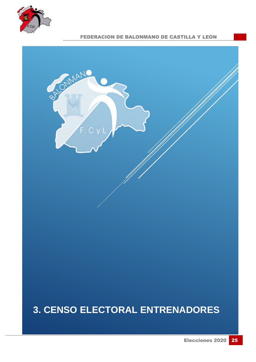



### **3. CENSO ELECTORAL ENTRENADORES**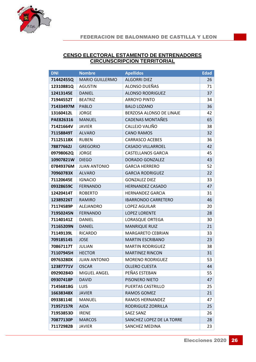

#### **CENSO ELECTORAL ESTAMENTO DE ENTRENADORES CIRCUNSCRIPCION TERRITORIAL**

| <b>DNI</b> | <b>Nombre</b>          | <b>Apellidos</b>                | <b>Edad</b> |
|------------|------------------------|---------------------------------|-------------|
| 71442455Q  | <b>MARIO GUILLERMO</b> | <b>ALGORRI DIEZ</b>             | 26          |
| 12310881Q  | <b>AGUSTIN</b>         | ALONSO DUEÑAS                   | 71          |
| 12413145E  | <b>DANIEL</b>          | <b>ALONSO RODRIGUEZ</b>         | 37          |
| 71944552T  | <b>BEATRIZ</b>         | <b>ARROYO PINTO</b>             | 34          |
| 71433497M  | PABLO                  | <b>BALO LOZANO</b>              | 36          |
| 13160412L  | <b>JORGE</b>           | <b>BERZOSA ALONSO DE LINAJE</b> | 42          |
| PAE826316  | <b>MANUEL</b>          | <b>CADENAS MONTAÑES</b>         | 65          |
| 71421664V  | <b>JAVIER</b>          | CALLEJO VALIÑO                  | 38          |
| 71158849T  | <b>ALVARO</b>          | <b>CANO RAMOS</b>               | 32          |
| 71125118X  | <b>RUBEN</b>           | <b>CARRASCO ACEBES</b>          | 36          |
| 78877662J  | <b>GREGORIO</b>        | <b>CASADO VILLARROEL</b>        | 42          |
| 09798062Q  | <b>JORGE</b>           | CASTELLANOS GARCIA              | 45          |
| 10907821W  | <b>DIEGO</b>           | DORADO GONZALEZ                 | 43          |
| 07849376M  | <b>JUAN ANTONIO</b>    | <b>GARCIA HERRERO</b>           | 52          |
| 70960783X  | <b>ALVARO</b>          | <b>GARCIA RODRIGUEZ</b>         | 22          |
| 71120645E  | <b>IGNACIO</b>         | <b>GONZALEZ DIEZ</b>            | 33          |
| 09328659C  | <b>FERNANDO</b>        | <b>HERNANDEZ CASADO</b>         | 47          |
| 12420414T  | <b>ROBERTO</b>         | <b>HERNANDEZ GARCIA</b>         | 31          |
| 12389226T  | <b>RAMIRO</b>          | <b>IBARRONDO CARRETERO</b>      | 46          |
| 71174589P  | <b>ALEJANDRO</b>       | LOPEZ AGUILAR                   | 20          |
| 71950245N  | <b>FERNANDO</b>        | <b>LOPEZ LORENTE</b>            | 28          |
| 71140141Z  | DANIEL                 | <b>LORASQUE ORTEGA</b>          | 30          |
| 71165209N  | <b>DANIEL</b>          | <b>MANRIQUE RUIZ</b>            | 21          |
| 71149139L  | <b>RICARDO</b>         | <b>MARGARETO CEBRIAN</b>        | 33          |
| 70918514S  | <b>JOSE</b>            | <b>MARTIN ESCRIBANO</b>         | 23          |
| 70867117T  | JULIAN                 | <b>MARTIN RODRIGUEZ</b>         | 38          |
| 71107945H  | <b>HECTOR</b>          | <b>MARTINEZ RINCON</b>          | 31          |
| 09763280X  | <b>JUAN ANTONIO</b>    | <b>MORENO RODRIGUEZ</b>         | 53          |
| 12387771V  | <b>OSCAR</b>           | <b>OLLERO CUESTA</b>            | 44          |
| 09290284D  | <b>MIGUEL ANGEL</b>    | PEÑAS ESTEBAN                   | 55          |
| 09307418P  | <b>DAVID</b>           | PISONERO NIETO                  | 47          |
| 71456818G  | <b>LUIS</b>            | PUERTAS CASTRILLO               | 25          |
| 16638348X  | <b>JAVIER</b>          | RAMOS GOMEZ                     | 21          |
| 09338114E  | <b>MANUEL</b>          | RAMOS HERNANDEZ                 | 47          |
| 71957157R  | <b>AIDA</b>            | RODRIGUEZ ZORRILLA              | 25          |
| 71953853D  | <b>IRENE</b>           | SAEZ SANZ                       | 26          |
| 70877130P  | <b>MARCOS</b>          | SANCHEZ LOPEZ DE LA TORRE       | 28          |
| 71172982B  | <b>JAVIER</b>          | SANCHEZ MEDINA                  | 23          |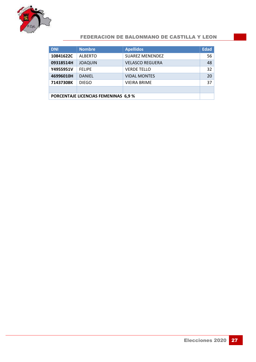

| <b>DNI</b>                                 | <b>Nombre</b>  | <b>Apellidos</b>       | <b>Edad</b> |
|--------------------------------------------|----------------|------------------------|-------------|
| 10841622C                                  | <b>ALBERTO</b> | <b>SUAREZ MENENDEZ</b> | 56          |
| 09318514H                                  | <b>JOAQUIN</b> | <b>VELASCO REGUERA</b> | 48          |
| Y4955951V                                  | <b>FELIPE</b>  | <b>VERDE TELLO</b>     | 32          |
| 46996010H                                  | <b>DANIEL</b>  | <b>VIDAL MONTES</b>    | 20          |
| 71437308K                                  | <b>DIEGO</b>   | <b>VIEIRA BRIME</b>    | 37          |
|                                            |                |                        |             |
| <b>PORCENTAJE LICENCIAS FEMENINAS 6,9%</b> |                |                        |             |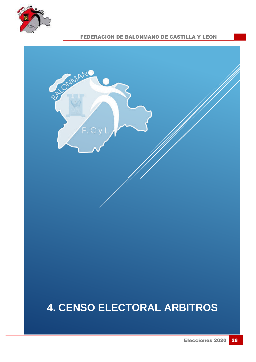



## **4. CENSO ELECTORAL ARBITROS**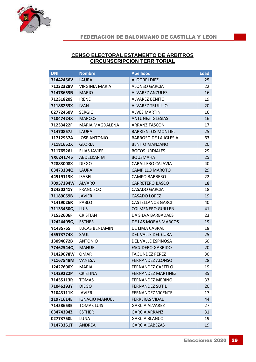

| <b>DNI</b>      | <b>Nombre</b>         | <b>Apellidos</b>             |    |  |  |
|-----------------|-----------------------|------------------------------|----|--|--|
| 71442456V       | LAURA                 | <b>ALGORRI DIEZ</b>          | 25 |  |  |
| 71232328V       | <b>VIRGINIA MARIA</b> | <b>ALONSO GARCIA</b>         | 22 |  |  |
| 71478653N       | <b>MARIO</b>          | <b>ALVAREZ ANZULES</b>       | 16 |  |  |
| 71231820S       | <b>IRENE</b>          | <b>ALVAREZ BENITO</b>        | 19 |  |  |
| 71188253X       | <b>IVAN</b>           | <b>ALVAREZ TRUJILLO</b>      | 20 |  |  |
| 02772460V       | <b>SERGIO</b>         | <b>ALVES MARTIN</b>          | 16 |  |  |
| 71047424X       | <b>MARCOS</b>         | <b>ANTUNEZ IGLESIAS</b>      | 16 |  |  |
| 71233422F       | MARIA MAGDALENA       | <b>ARRANZ TASCON</b>         | 17 |  |  |
| 71470857J       | LAURA                 | <b>BARRIENTOS MONTIEL</b>    | 25 |  |  |
| 11712937A       | <b>JOSE ANTONIO</b>   | <b>BARROSO DE LA IGLESIA</b> | 63 |  |  |
| 71181652X       | <b>GLORIA</b>         | <b>BENITO MANZANO</b>        | 20 |  |  |
| 71176526J       | <b>ELIAS JAVIER</b>   | <b>BOCOS URDIALES</b>        | 29 |  |  |
| YX6241745       | ABDELKARIM            | <b>BOUSMAHA</b>              | 25 |  |  |
| 72883008X       | <b>DIEGO</b>          | <b>CABALLERO CALAVIA</b>     | 40 |  |  |
| 03473384Q       | <b>LAURA</b>          | <b>CAMPILLO MAROTO</b>       | 29 |  |  |
| 44919113K       | <b>ISABEL</b>         | <b>CAMPO BARBERO</b>         | 22 |  |  |
| 70957394W       | <b>ALVARO</b>         | <b>CARRETERO BASCO</b>       | 18 |  |  |
| 12430241Y       | <b>FRANCISCO</b>      | <b>CASADO GARCIA</b>         | 18 |  |  |
| 71189059B       | <b>JAVIER</b>         | <b>CASADO LOPEZ</b>          | 19 |  |  |
| 71419026R       | PABLO                 | <b>CASTELLANOS GARCI</b>     | 40 |  |  |
| 71133450Q       | <b>LUIS</b>           | <b>COLMENERO GUILLEN</b>     | 41 |  |  |
| 71532606F       | <b>CRISTIAN</b>       | DA SILVA BARBADAES           | 23 |  |  |
| 12424409Q       | <b>ESTHER</b>         | DE LAS MORAS MARCOS          | 19 |  |  |
| <b>YC435755</b> | LUCAS BENJAMIN        | DE LIMA CABRAL               | 18 |  |  |
| 45573774X       | SAUL                  | DEL VALLE DEL CURA           | 25 |  |  |
| 13094072B       | <b>ANTONIO</b>        | DEL VALLE ESPINOSA           | 60 |  |  |
| 77462544Q       | <b>MANUEL</b>         | <b>ESCUDERO GARRIDO</b>      | 20 |  |  |
| 71429078W       | <b>OMAR</b>           | <b>FAGUNDEZ PEREZ</b>        | 30 |  |  |
| 71167548M       | <b>VANESA</b>         | <b>FERNANDEZ ALONSO</b>      | 28 |  |  |
| 12427600X       | <b>MARIA</b>          | <b>FERNANDEZ CASTELO</b>     | 19 |  |  |
| 71429222P       | <b>CRISTINA</b>       | <b>FERNANDEZ MARTINEZ</b>    | 35 |  |  |
| 71455113R       | <b>TOMAS</b>          | FERNANDEZ MERINO             | 33 |  |  |
| 71046293Y       | <b>DIEGO</b>          | <b>FERNANDEZ SUTIL</b>       | 20 |  |  |
| 71043111K       | <b>JAVIER</b>         | <b>FERNANDEZ VICENTE</b>     | 17 |  |  |
| 11971614E       | <b>IGNACIO MANUEL</b> | <b>FERRERAS VIDAL</b>        | 44 |  |  |
| 71458653E       | <b>TOMAS LUIS</b>     | <b>GARCIA ALVAREZ</b>        | 27 |  |  |
| 03474394Z       | <b>ESTHER</b>         | <b>GARCIA ARRANZ</b>         | 31 |  |  |
| 02773750L       | LUNA                  | <b>GARCIA BLANCO</b>         | 19 |  |  |
| 71473351T       | <b>ANDREA</b>         | <b>GARCIA CABEZAS</b>        | 19 |  |  |

#### **CENSO ELECTORAL ESTAMENTO DE ARBITROS CIRCUNSCRIPCION TERRITORIAL**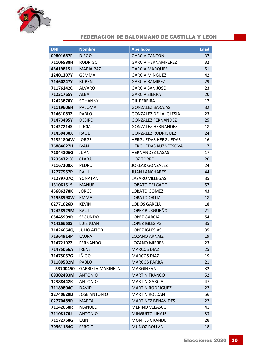

| <b>DNI</b> | <b>Nombre</b>            | <b>Apellidos</b>              | <b>Edad</b> |
|------------|--------------------------|-------------------------------|-------------|
| 09801687F  | <b>DIEGO</b>             | <b>GARCIA CANTON</b>          | 37          |
| 71106588H  | <b>RODRIGO</b>           | <b>GARCIA HERNAMPEREZ</b>     | 32          |
| 45419815J  | <b>MARIA PAZ</b>         | <b>GARCIA MARQUES</b>         | 51          |
| 12401307Y  | <b>GEMMA</b>             | <b>GARCIA MINGUEZ</b>         | 42          |
| 71460247Y  | <b>RUBEN</b>             | <b>GARCIA RAMIREZ</b>         | 29          |
| 71176142C  | <b>ALVARO</b>            | <b>GARCIA SAN JOSE</b>        | 23          |
| 71231765Y  | <b>ALBA</b>              | <b>GARCIA SIERRA</b>          | 20          |
| 12423870Y  | <b>SOHANNY</b>           | <b>GIL PEREIRA</b>            | 17          |
| 71119606H  | <b>PALOMA</b>            | <b>GONZALEZ BARAJAS</b>       | 32          |
| 71461083Z  | <b>PABLO</b>             | <b>GONZALEZ DE LA IGLESIA</b> | 23          |
| 71473495Y  | <b>DESIRE</b>            | <b>GONZALEZ FERNANDEZ</b>     | 25          |
| 12427214S  | <b>LUCIA</b>             | <b>GONZALEZ HERNANDEZ</b>     | 18          |
| 71450430X  | <b>RAUL</b>              | <b>GONZALEZ RODRIGUEZ</b>     | 24          |
| 71321806W  | <b>JORGE</b>             | <b>HERGUEDAS HERGUEDAS</b>    | 16          |
| 76884027H  | <b>IVAN</b>              | <b>HERGUEDAS KUZNETSOVA</b>   | 17          |
| 71044106G  | JUAN                     | <b>HERNANDEZ CASAS</b>        | 17          |
| 72354721X  | <b>CLARA</b>             | <b>HOZ TORRE</b>              | 20          |
| 71167208X  | <b>PEDRO</b>             | <b>JORLAR GONZALEZ</b>        | 24          |
| 12777957P  | RAUL                     | <b>JUAN LANCHARES</b>         | 44          |
| 71279707Q  | YONATAN                  | <b>LAZARO VILLEGAS</b>        | 35          |
| 13106151S  | <b>MANUEL</b>            | <b>LOBATO DELGADO</b>         | 57          |
| 45686278K  | <b>JORGE</b>             | LOBATO GOMEZ                  | 43          |
| 71958998W  | <b>EMMA</b>              | <b>LOBATO ORTIZ</b>           | 18          |
| 02771026D  | <b>KEVIN</b>             | <b>LODOS GARCIA</b>           | 18          |
| 12428929M  | RAUL                     | LOPEZ BURGUEÑO                | 21          |
| 03445999R  | <b>SEGUNDO</b>           | <b>LOPEZ GARCIA</b>           | 54          |
| 71426653S  | <b>LUIS JUAN</b>         | <b>LOPEZ IGLESIAS</b>         | 35          |
| 71426654Q  | <b>JULIO AITOR</b>       | <b>LOPEZ IGLESIAS</b>         | 35          |
| 71364914P  | LAURA                    | <b>LOZANO ARNAIZ</b>          | 19          |
| 71472192Z  | <b>FERNANDO</b>          | <b>LOZANO MIERES</b>          | 23          |
| 71475056A  | <b>IRENE</b>             | <b>MARCOS DIAZ</b>            | 25          |
| 71475057G  | IÑIGO                    | <b>MARCOS DIAZ</b>            | 19          |
| 71189582M  | PABLO                    | <b>MARCOS PARRA</b>           | 21          |
| 53700450   | <b>GABRIELA MARINELA</b> | <b>MARGINEAN</b>              | 32          |
| 09302493M  | <b>ANTONIO</b>           | <b>MARTIN FRANCO</b>          | 52          |
| 12388442K  | <b>ANTONIO</b>           | <b>MARTIN GARCIA</b>          | 47          |
| 71189804C  | <b>DAVID</b>             | <b>MARTIN RODRIGUEZ</b>       | 22          |
| 12740629D  | <b>JOSE ANTONIO</b>      | <b>MARTIN ROLDAN</b>          | 56          |
| 02770489R  | <b>MARTA</b>             | <b>MARTINEZ BENAVIDES</b>     | 22          |
| 71142658R  | MANUEL                   | <b>MERINO VELASCO</b>         | 41          |
| 71108170J  | <b>ANTONIO</b>           | <b>MINGUITO LINAJE</b>        | 33          |
| 71172768G  | LAIN                     | <b>MONTES GRANDE</b>          | 28          |
| 70961184C  | <b>SERGIO</b>            | MUÑOZ ROLLAN                  | 18          |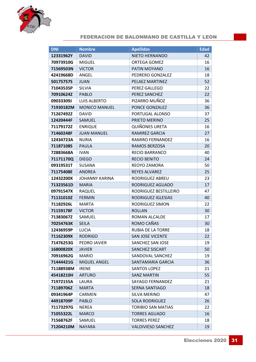

| <b>DNI</b> | <b>Nombre</b>         | <b>Apellidos</b>          | <b>Edad</b> |
|------------|-----------------------|---------------------------|-------------|
| 12331962Y  | <b>DAVID</b>          | NIETO HERNANDO            | 42          |
| 70973910G  | <b>MIGUEL</b>         | <b>ORTEGA GOMEZ</b>       | 16          |
| 71569503N  | <b>VICTOR</b>         | PATIN MOYANO              | 16          |
| 42419668D  | ANGEL                 | PEDRERO GONZALEZ          | 18          |
| 50175757S  | <b>JUAN</b>           | PELAEZ MARTINEZ           | 52          |
| 71043535P  | <b>SILVIA</b>         | PEREZ GALLEGO             | 22          |
| 70910624Z  | <b>PABLO</b>          | PEREZ SANCHEZ             | 22          |
| 09033309J  | <b>LUIS ALBERTO</b>   | PIZARRO MUÑOZ             | 36          |
| 71930182M  | <b>MONICO MANUEL</b>  | PONCE GONZALEZ            | 36          |
| 71267492Z  | <b>DAVID</b>          | PORTUGAL ALONSO           | 37          |
| 12420444F  | SAMUEL                | PRIETO MERINO             | 25          |
| 71179172Z  | <b>ENRIQUE</b>        | <b>QUIÑONES URETA</b>     | 16          |
| 71460248F  | <b>JUAN MANUEL</b>    | RAMIREZ GARCIA            | 27          |
| 12434723A  | <b>NURIA</b>          | <b>RAMIRO FERNANDEZ</b>   | 16          |
| 71187108S  | <b>PAULA</b>          | RAMOS BERZOSA             | 20          |
| 72883668A  | <b>IVAN</b>           | <b>RECIO BARRANCO</b>     | 40          |
| 71171170Q  | <b>DIEGO</b>          | <b>RECIO BENITO</b>       | 24          |
| 09319531T  | <b>SUSANA</b>         | REOYO ZAMORA              | 50          |
| 71175408E  | <b>ANDREA</b>         | <b>REYES ALVAREZ</b>      | 25          |
| 12432200X  | <b>JOHANNY KARINA</b> | RODRIGUEZ ABREU           | 23          |
| 71323561D  | <b>MARIA</b>          | RODRIGUEZ AGUADO          | 17          |
| 09791547X  | RAQUEL                | RODRIGUEZ BESTILLEIRO     | 47          |
| 71131010Z  | <b>FERMIN</b>         | RODRIGUEZ IGLESIAS        | 40          |
| 71182926L  | <b>MARTA</b>          | RODRIGUEZ SIMON           | 22          |
| 71159178F  | <b>VICTOR</b>         | <b>ROLLAN</b>             | 30          |
| 71383067Z  | SAMUEL                | ROMAN ALCALDE             | 17          |
| 70254763K  | <b>SEILA</b>          | ROMO CAÑAS                | 30          |
| 12436959P  | <b>LUCIA</b>          | <b>RUBIA DE LA TORRE</b>  | 18          |
| 71162309X  | <b>RODRIGO</b>        | <b>SAN JOSE VICENTE</b>   | 22          |
| 71476253G  | PEDRO JAVIER          | SANCHEZ SAN JOSE          | 19          |
| 16800820X  | <b>JAVIER</b>         | <b>SANCHEZ SISCART</b>    | 50          |
| 70916962G  | <b>MARIO</b>          | SANDOVAL SANCHEZ          | 19          |
| 71444421G  | <b>MIGUEL ANGEL</b>   | SANTAMARIA GARCIA         | 36          |
| 71188938M  | <b>IRENE</b>          | <b>SANTOS LOPEZ</b>       | 21          |
| 45418210H  | <b>ARTURO</b>         | <b>SANZ MARTIN</b>        | 55          |
| 71972155A  | LAURA                 | <b>SAYAGO FERNANDEZ</b>   | 21          |
| 71189706Z  | <b>MARTA</b>          | SERNA SANTIAGO            | 18          |
| 09341964P  | <b>CARMEN</b>         | SILVA MERINO              | 47          |
| 44918709P  | PABLO                 | <b>SOLA RODRIGUEZ</b>     | 26          |
| 71173297G  | NEREA                 | <b>TORIBIO SAN MATIAS</b> | 22          |
| 71055322L  | <b>MARCO</b>          | <b>TORRES AGUADO</b>      | 16          |
| 71568762F  | SAMUEL                | <b>TORRES PEREZ</b>       | 18          |
| 71204210M  | NAYARA                | <b>VALDIVIESO SANCHEZ</b> | 19          |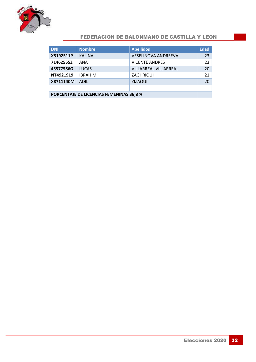

| <b>DNI</b>                               | <b>Nombre</b>  | <b>Apellidos</b>           | <b>Edad</b>     |  |
|------------------------------------------|----------------|----------------------------|-----------------|--|
| X5192511P                                | <b>KALINA</b>  | <b>VESELINOVA ANDREEVA</b> | 23              |  |
| 71462555Z                                | ANA            | <b>VICENTE ANDRES</b>      | 23              |  |
| 45577586G                                | <b>LUCAS</b>   | VILLARREAL VILLARREAL      | 20 <sup>1</sup> |  |
| NT4921919                                | <b>IBRAHIM</b> | <b>ZAGHRIOUI</b>           | 21              |  |
| X8711140M                                | <b>ADIL</b>    | <b>ZIZAOUI</b>             | 20 <sup>°</sup> |  |
|                                          |                |                            |                 |  |
| PORCENTAJE DE LICENCIAS FEMENINAS 36,8 % |                |                            |                 |  |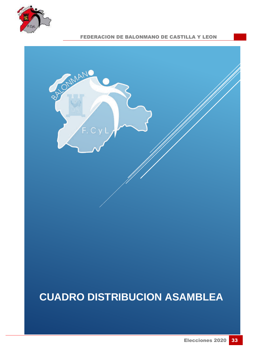



### **CUADRO DISTRIBUCION ASAMBLEA**